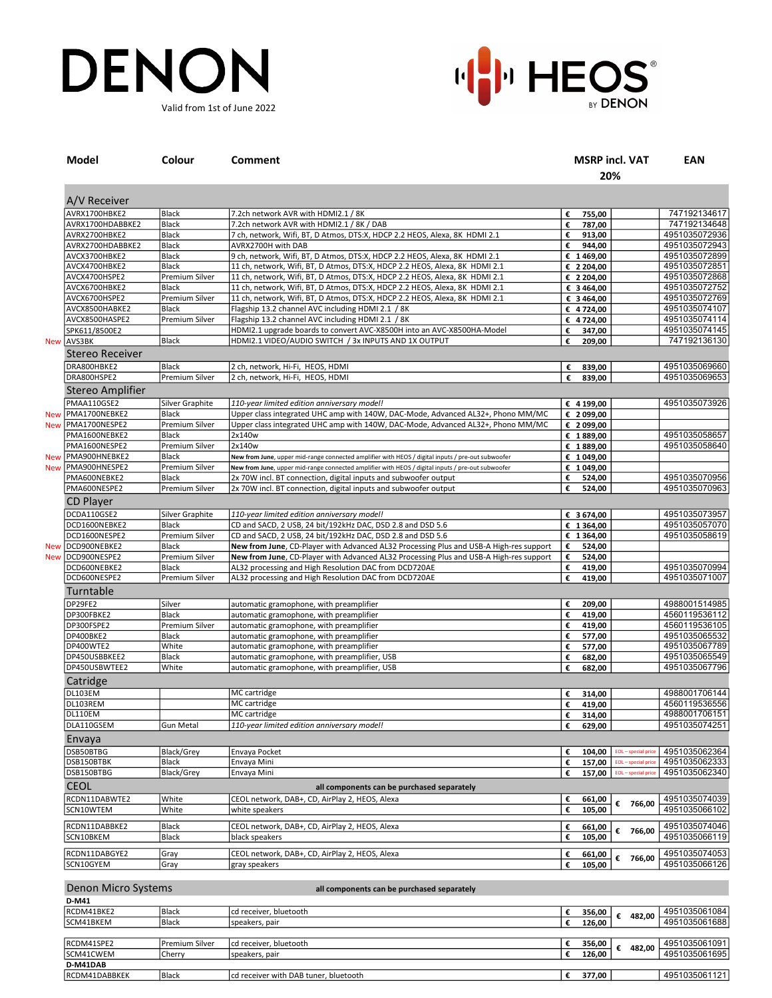## DENON Valid from 1st of June 2022



| Model                   | Colour           | <b>Comment</b>                                                                                    |    |             | <b>MSRP incl. VAT</b><br>20% | <b>EAN</b>                     |
|-------------------------|------------------|---------------------------------------------------------------------------------------------------|----|-------------|------------------------------|--------------------------------|
| A/V Receiver            |                  |                                                                                                   |    |             |                              |                                |
| AVRX1700HBKE2           | Black            | 7.2ch network AVR with HDMI2.1 / 8K                                                               | €  | 755,00      |                              | 747192134617                   |
| AVRX1700HDABBKE2        | Black            | 7.2ch network AVR with HDMI2.1 / 8K / DAB                                                         | €  | 787,00      |                              | 747192134648                   |
| AVRX2700HBKE2           | Black            | 7 ch, network, Wifi, BT, D Atmos, DTS:X, HDCP 2.2 HEOS, Alexa, 8K HDMI 2.1                        | €  | 913,00      |                              | 4951035072936                  |
| AVRX2700HDABBKE2        | Black            | AVRX2700H with DAB                                                                                | €  | 944,00      |                              | 4951035072943                  |
| AVCX3700HBKE2           | <b>Black</b>     |                                                                                                   |    |             |                              | 4951035072899                  |
|                         |                  | 9 ch, network, Wifi, BT, D Atmos, DTS:X, HDCP 2.2 HEOS, Alexa, 8K HDMI 2.1                        |    | € 1469,00   |                              |                                |
| AVCX4700HBKE2           | <b>Black</b>     | 11 ch, network, Wifi, BT, D Atmos, DTS:X, HDCP 2.2 HEOS, Alexa, 8K HDMI 2.1                       |    | € 2 204,00  |                              | 4951035072851                  |
| AVCX4700HSPE2           | Premium Silver   | 11 ch, network, Wifi, BT, D Atmos, DTS:X, HDCP 2.2 HEOS, Alexa, 8K HDMI 2.1                       |    | € 2 204,00  |                              | 4951035072868                  |
| AVCX6700HBKE2           | Black            | 11 ch, network, Wifi, BT, D Atmos, DTS:X, HDCP 2.2 HEOS, Alexa, 8K HDMI 2.1                       |    | € 3 464,00  |                              | 4951035072752                  |
| AVCX6700HSPE2           | Premium Silver   | 11 ch, network, Wifi, BT, D Atmos, DTS:X, HDCP 2.2 HEOS, Alexa, 8K HDMI 2.1                       |    | € 3 464,00  |                              | 4951035072769                  |
| AVCX8500HABKE2          | <b>Black</b>     | Flagship 13.2 channel AVC including HDMI 2.1 / 8K                                                 |    | € 4724,00   |                              | 4951035074107                  |
| AVCX8500HASPE2          | Premium Silver   | Flagship 13.2 channel AVC including HDMI 2.1 / 8K                                                 |    | € 4724,00   |                              | 4951035074114                  |
| SPK611/8500E2           |                  | HDMI2.1 upgrade boards to convert AVC-X8500H into an AVC-X8500HA-Model                            | €  | 347,00      |                              | 4951035074145                  |
| New AVS3BK              | Black            | HDMI2.1 VIDEO/AUDIO SWITCH / 3x INPUTS AND 1X OUTPUT                                              | €  | 209,00      |                              | 747192136130                   |
| Stereo Receiver         |                  |                                                                                                   |    |             |                              |                                |
| DRA800HBKE2             | Black            | 2 ch, network, Hi-Fi, HEOS, HDMI                                                                  | €  | 839,00      |                              | 4951035069660                  |
| DRA800HSPE2             | Premium Silver   | 2 ch, network, Hi-Fi, HEOS, HDMI                                                                  | €  | 839,00      |                              | 4951035069653                  |
| Stereo Amplifier        |                  |                                                                                                   |    |             |                              |                                |
| PMAA110GSE2             |                  | 110-year limited edition anniversary model!                                                       |    |             |                              | 4951035073926                  |
| New PMA1700NEBKE2       | Silver Graphite  |                                                                                                   |    | € 4 199,00  |                              |                                |
|                         | Black            | Upper class integrated UHC amp with 140W, DAC-Mode, Advanced AL32+, Phono MM/MC                   |    | € 2 099,00  |                              |                                |
| New   PMA1700NESPE2     | Premium Silver   | Upper class integrated UHC amp with 140W, DAC-Mode, Advanced AL32+, Phono MM/MC                   |    | € 2 099,00  |                              |                                |
| PMA1600NEBKE2           | Black            | 2x140w                                                                                            |    | € 1889,00   |                              | 4951035058657                  |
| PMA1600NESPE2           | Premium Silver   | 2x140w                                                                                            |    | € 1889,00   |                              | 4951035058640                  |
| New   PMA900HNEBKE2     | Black            | New from June, upper mid-range connected amplifier with HEOS / digital inputs / pre-out subwoofer |    | € 1 049,00  |                              |                                |
| New  PMA900HNESPE2      | Premium Silver   | New from June, upper mid-range connected amplifier with HEOS / digital inputs / pre-out subwoofer |    | € 1 049,00  |                              |                                |
| PMA600NEBKE2            | Black            | 2x 70W incl. BT connection, digital inputs and subwoofer output                                   | €  | 524,00      |                              | 4951035070956                  |
| PMA600NESPE2            | Premium Silver   | 2x 70W incl. BT connection, digital inputs and subwoofer output                                   | €  | 524,00      |                              | 4951035070963                  |
| <b>CD Player</b>        |                  |                                                                                                   |    |             |                              |                                |
|                         |                  |                                                                                                   |    |             |                              |                                |
| DCDA110GSE2             | Silver Graphite  | 110-year limited edition anniversary model!                                                       |    | € 3674,00   |                              | 4951035073957                  |
| DCD1600NEBKE2           | Black            | CD and SACD, 2 USB, 24 bit/192kHz DAC, DSD 2.8 and DSD 5.6                                        |    | € 1364,00   |                              | 4951035057070                  |
| DCD1600NESPE2           | Premium Silver   | CD and SACD, 2 USB, 24 bit/192kHz DAC, DSD 2.8 and DSD 5.6                                        |    | € 1364,00   |                              | 4951035058619                  |
| New DCD900NEBKE2        | Black            | New from June, CD-Player with Advanced AL32 Processing Plus and USB-A High-res support            | €  | 524,00      |                              |                                |
| New DCD900NESPE2        | Premium Silver   | New from June, CD-Player with Advanced AL32 Processing Plus and USB-A High-res support            | €  | 524,00      |                              |                                |
| DCD600NEBKE2            | Black            | AL32 processing and High Resolution DAC from DCD720AE                                             | €  | 419,00      |                              | 4951035070994                  |
| DCD600NESPE2            | Premium Silver   | AL32 processing and High Resolution DAC from DCD720AE                                             | €  | 419,00      |                              | 4951035071007                  |
| Turntable               |                  |                                                                                                   |    |             |                              |                                |
| DP29FE2                 | Silver           | automatic gramophone, with preamplifier                                                           | €  | 209,00      |                              | 4988001514985                  |
| DP300FBKE2              | <b>Black</b>     | automatic gramophone, with preamplifier                                                           | €  | 419,00      |                              | 4560119536112                  |
| DP300FSPE2              | Premium Silver   |                                                                                                   |    |             |                              | 4560119536105                  |
|                         |                  | automatic gramophone, with preamplifier                                                           | €  | 419,00      |                              |                                |
| DP400BKE2               | Black            | automatic gramophone, with preamplifier                                                           | €  | 577,00      |                              | 4951035065532                  |
| DP400WTE2               | White            | automatic gramophone, with preamplifier                                                           | €  | 577,00      |                              | 4951035067789                  |
| DP450USBBKEE2           | <b>Black</b>     | automatic gramophone, with preamplifier, USB                                                      | €  | 682,00      |                              | 4951035065549                  |
| DP450USBWTEE2           | White            | automatic gramophone, with preamplifier, USB                                                      | €  | 682,00      |                              | 4951035067796                  |
| Catridge                |                  |                                                                                                   |    |             |                              |                                |
| DL103EM                 |                  | MC cartridge                                                                                      | €  | 314,00      |                              | 4988001706144                  |
| DL103REM                |                  | MC cartridge                                                                                      | €  | 419,00      |                              | 4560119536556                  |
| DL110EM                 |                  | MC cartridge                                                                                      | €  | 314,00      |                              | 4988001706151                  |
| DLA110GSEM              | Gun Metal        | 110-year limited edition anniversary model!                                                       | €  | 629,00      |                              | 4951035074251                  |
|                         |                  |                                                                                                   |    |             |                              |                                |
| Envaya                  |                  |                                                                                                   |    |             |                              |                                |
| DSB50BTBG               | Black/Grey       | Envaya Pocket                                                                                     | €  | 104,00      | EOL-special price            | 4951035062364                  |
| DSB150BTBK              | Black            | Envaya Mini                                                                                       | €  | 157.00      | EOL - special price          | 4951035062333                  |
| DSB150BTBG              | Black/Grey       | Envaya Mini                                                                                       | €  | 157.00      | EOL - special price          | 4951035062340                  |
| <b>CEOL</b>             |                  | all components can be purchased separately                                                        |    |             |                              |                                |
| RCDN11DABWTE2           | White            | CEOL network, DAB+, CD, AirPlay 2, HEOS, Alexa                                                    | €  | 661,00      | € 766,00                     | 4951035074039                  |
| SCN10WTEM               | White            | white speakers                                                                                    | €  | 105,00      |                              | 4951035066102                  |
|                         |                  |                                                                                                   |    |             |                              |                                |
| RCDN11DABBKE2           | Black            | CEOL network, DAB+, CD, AirPlay 2, HEOS, Alexa                                                    | €  | 661,00      | € 766,00                     | 4951035074046<br>4951035066119 |
| SCN10BKEM               | <b>Black</b>     | black speakers                                                                                    | €  | 105,00      |                              |                                |
| RCDN11DABGYE2           | Gray             | CEOL network, DAB+, CD, AirPlay 2, HEOS, Alexa                                                    | €  | 661,00      |                              | 4951035074053                  |
| SCN10GYEM               | Gray             | gray speakers                                                                                     | €  | 105,00      | € 766,00                     | 4951035066126                  |
|                         |                  |                                                                                                   |    |             |                              |                                |
| Denon Micro Systems     |                  | all components can be purchased separately                                                        |    |             |                              |                                |
|                         |                  |                                                                                                   |    |             |                              |                                |
| D-M41<br>$\overline{R}$ | $T_{\text{rel}}$ |                                                                                                   | ▔▃ | $rac{1}{2}$ |                              | $1.4054025004004$              |

| $-111 - 1$     |                       |                                       |  |        |  |        |               |  |
|----------------|-----------------------|---------------------------------------|--|--------|--|--------|---------------|--|
| RCDM41BKE2     | <b>Black</b>          | lcd receiver. bluetooth               |  | 356,00 |  | 482.00 | 4951035061084 |  |
| lSCM41BKEM     | <b>Black</b>          | speakers, pair                        |  | 126.00 |  |        | 4951035061688 |  |
|                |                       |                                       |  |        |  |        |               |  |
| RCDM41SPE2     | <b>Premium Silver</b> | lcd receiver. bluetooth               |  | 356,00 |  | 482.00 | 4951035061091 |  |
| SCM41CWEM      | <b>ICherry</b>        | speakers, pair                        |  | 126.00 |  |        | 4951035061695 |  |
| D-M41DAB       |                       |                                       |  |        |  |        |               |  |
| lRCDM41DABBKEK | Black                 | cd receiver with DAB tuner, bluetooth |  | 377.00 |  |        | 4951035061121 |  |
|                |                       |                                       |  |        |  |        |               |  |